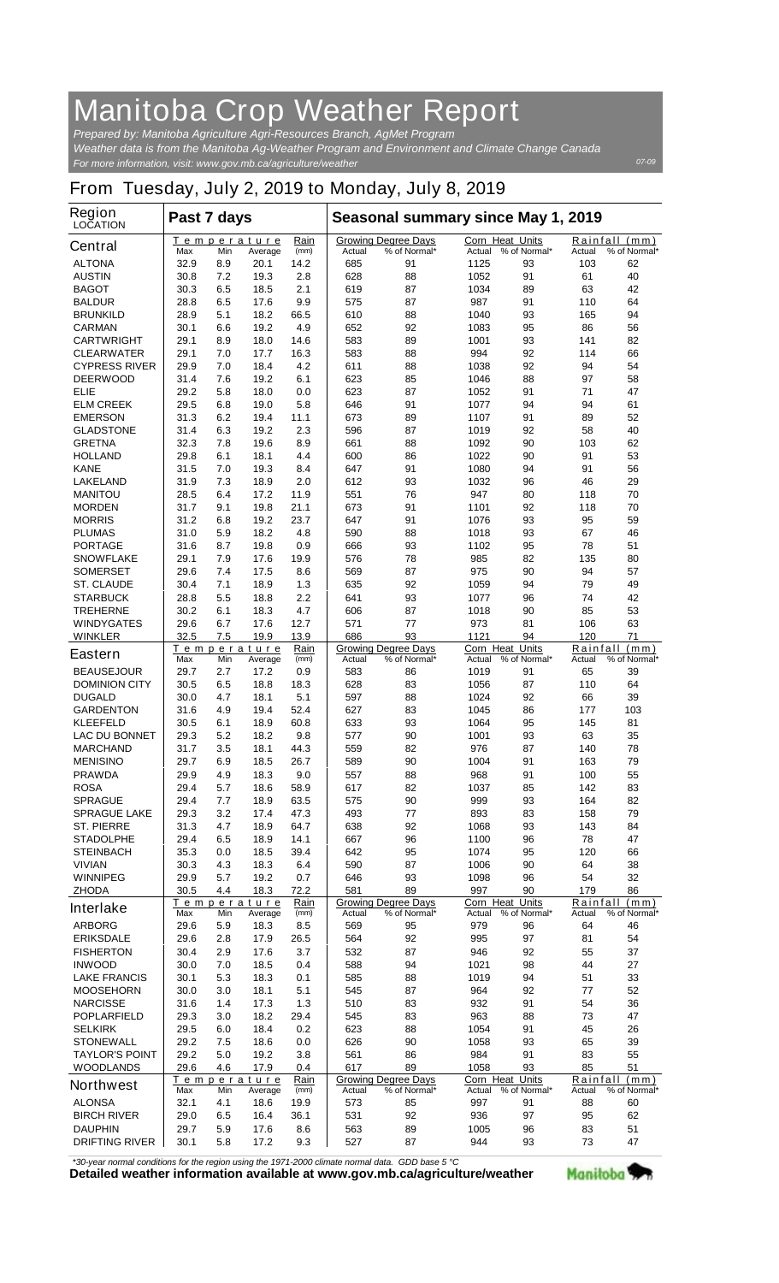## **Manitoba Crop Weather Report**

*For more information, visit: www.gov.mb.ca/agriculture/weather Prepared by: Manitoba Agriculture Agri-Resources Branch, AgMet Program Weather data is from the Manitoba Ag-Weather Program and Environment and Climate Change Canada*

## **From Tuesday, July 2, 2019 to Monday, July 8, 2019**

| <b>Region</b><br><b>LOCATION</b>        | Past 7 days  |            |                               |              | Seasonal summary since May 1, 2019 |                                            |              |                                        |                 |                               |
|-----------------------------------------|--------------|------------|-------------------------------|--------------|------------------------------------|--------------------------------------------|--------------|----------------------------------------|-----------------|-------------------------------|
| <b>Central</b>                          | Max          | Min        | Temperature<br>Average        | Rain<br>(mm) | Actual                             | <b>Growing Degree Days</b><br>% of Normal* | Actual       | <b>Corn Heat Units</b><br>% of Normal* | Actual          | Rainfall (mm)<br>% of Normal* |
| <b>ALTONA</b>                           | 32.9         | 8.9        | 20.1                          | 14.2         | 685                                | 91                                         | 1125         | 93                                     | 103             | 62                            |
| <b>AUSTIN</b>                           | 30.8         | 7.2        | 19.3                          | 2.8          | 628                                | 88                                         | 1052         | 91                                     | 61              | 40                            |
| <b>BAGOT</b>                            | 30.3         | 6.5        | 18.5                          | 2.1          | 619                                | 87                                         | 1034         | 89                                     | 63              | 42                            |
| <b>BALDUR</b>                           | 28.8         | 6.5        | 17.6                          | 9.9          | 575                                | 87                                         | 987          | 91                                     | 110             | 64                            |
| <b>BRUNKILD</b><br><b>CARMAN</b>        | 28.9<br>30.1 | 5.1<br>6.6 | 18.2<br>19.2                  | 66.5<br>4.9  | 610<br>652                         | 88<br>92                                   | 1040         | 93<br>95                               | 165<br>86       | 94<br>56                      |
| <b>CARTWRIGHT</b>                       | 29.1         | 8.9        | 18.0                          | 14.6         | 583                                | 89                                         | 1083<br>1001 | 93                                     | 141             | 82                            |
| <b>CLEARWATER</b>                       | 29.1         | 7.0        | 17.7                          | 16.3         | 583                                | 88                                         | 994          | 92                                     | 114             | 66                            |
| <b>CYPRESS RIVER</b>                    | 29.9         | 7.0        | 18.4                          | 4.2          | 611                                | 88                                         | 1038         | 92                                     | 94              | 54                            |
| <b>DEERWOOD</b>                         | 31.4         | 7.6        | 19.2                          | 6.1          | 623                                | 85                                         | 1046         | 88                                     | 97              | 58                            |
| ELIE                                    | 29.2         | 5.8        | 18.0                          | 0.0          | 623                                | 87                                         | 1052         | 91                                     | 71              | 47                            |
| <b>ELM CREEK</b>                        | 29.5         | 6.8        | 19.0                          | 5.8          | 646                                | 91                                         | 1077         | 94                                     | 94              | 61                            |
| <b>EMERSON</b>                          | 31.3         | 6.2        | 19.4                          | 11.1         | 673                                | 89                                         | 1107         | 91                                     | 89              | 52                            |
| <b>GLADSTONE</b>                        | 31.4         | 6.3        | 19.2                          | 2.3          | 596                                | 87                                         | 1019         | 92                                     | 58              | 40                            |
| <b>GRETNA</b>                           | 32.3         | 7.8        | 19.6                          | 8.9          | 661                                | 88                                         | 1092         | 90                                     | 103             | 62                            |
| <b>HOLLAND</b>                          | 29.8         | 6.1        | 18.1                          | 4.4          | 600                                | 86                                         | 1022         | 90                                     | 91              | 53                            |
| <b>KANE</b>                             | 31.5         | 7.0        | 19.3                          | 8.4          | 647                                | 91                                         | 1080         | 94                                     | 91              | 56                            |
| <b>LAKELAND</b>                         | 31.9         | 7.3        | 18.9                          | 2.0          | 612                                | 93                                         | 1032         | 96                                     | 46              | 29                            |
| <b>MANITOU</b>                          | 28.5         | 6.4        | 17.2                          | 11.9         | 551                                | 76                                         | 947          | 80                                     | 118             | 70                            |
| <b>MORDEN</b>                           | 31.7         | 9.1        | 19.8                          | 21.1<br>23.7 | 673                                | 91                                         | 1101<br>1076 | 92                                     | 118<br>95       | 70<br>59                      |
| <b>MORRIS</b><br><b>PLUMAS</b>          | 31.2<br>31.0 | 6.8<br>5.9 | 19.2<br>18.2                  | 4.8          | 647<br>590                         | 91<br>88                                   | 1018         | 93<br>93                               | 67              | 46                            |
| <b>PORTAGE</b>                          | 31.6         | 8.7        | 19.8                          | 0.9          | 666                                | 93                                         | 1102         | 95                                     | 78              | 51                            |
| <b>SNOWFLAKE</b>                        | 29.1         | 7.9        | 17.6                          | 19.9         | 576                                | 78                                         | 985          | 82                                     | 135             | 80                            |
| <b>SOMERSET</b>                         | 29.6         | 7.4        | 17.5                          | 8.6          | 569                                | 87                                         | 975          | 90                                     | 94              | 57                            |
| <b>ST. CLAUDE</b>                       | 30.4         | 7.1        | 18.9                          | 1.3          | 635                                | 92                                         | 1059         | 94                                     | 79              | 49                            |
| <b>STARBUCK</b>                         | 28.8         | 5.5        | 18.8                          | 2.2          | 641                                | 93                                         | 1077         | 96                                     | 74              | 42                            |
| <b>TREHERNE</b>                         | 30.2         | 6.1        | 18.3                          | 4.7          | 606                                | 87                                         | 1018         | 90                                     | 85              | 53                            |
| <b>WINDYGATES</b>                       | 29.6         | 6.7        | 17.6                          | 12.7         | 571                                | 77                                         | 973          | 81                                     | 106             | 63                            |
| <b>WINKLER</b>                          | 32.5         | 7.5        | 19.9                          | 13.9         | 686                                | 93                                         | 1121         | 94                                     | 120             | 71                            |
| <b>Eastern</b>                          | Max          | Min        | <u>Temperature</u><br>Average | Rain<br>(mm) | Actual                             | <b>Growing Degree Days</b><br>% of Normal* | Actual       | <b>Corn Heat Units</b><br>% of Normal* | Actual          | Rainfall (mm)<br>% of Normal* |
| <b>BEAUSEJOUR</b>                       | 29.7         | 2.7        | 17.2                          | 0.9          | 583                                | 86                                         | 1019         | 91                                     | 65              | 39                            |
| <b>DOMINION CITY</b>                    | 30.5         | 6.5        | 18.8                          | 18.3         | 628                                | 83                                         | 1056         | 87                                     | 110             | 64                            |
| <b>DUGALD</b>                           | 30.0         | 4.7        | 18.1                          | 5.1          | 597                                | 88                                         | 1024         | 92                                     | 66              | 39                            |
| <b>GARDENTON</b>                        | 31.6         | 4.9        | 19.4                          | 52.4         | 627                                | 83                                         | 1045         | 86                                     | 177             | 103                           |
| <b>KLEEFELD</b>                         | 30.5         | 6.1        | 18.9                          | 60.8         | 633                                | 93                                         | 1064         | 95                                     | 145             | 81                            |
| <b>LAC DU BONNET</b><br><b>MARCHAND</b> | 29.3<br>31.7 | 5.2<br>3.5 | 18.2<br>18.1                  | 9.8<br>44.3  | 577<br>559                         | 90<br>82                                   | 1001<br>976  | 93<br>87                               | 63<br>140       | 35<br>78                      |
| <b>MENISINO</b>                         | 29.7         | 6.9        | 18.5                          | 26.7         | 589                                | 90                                         | 1004         | 91                                     | 163             | 79                            |
| <b>PRAWDA</b>                           | 29.9         | 4.9        | 18.3                          | 9.0          | 557                                | 88                                         | 968          | 91                                     | 100             | 55                            |
| <b>ROSA</b>                             | 29.4         | 5.7        | 18.6                          | 58.9         | 617                                | 82                                         | 1037         | 85                                     | 142             | 83                            |
| <b>SPRAGUE</b>                          | 29.4         | 7.7        | 18.9                          | 63.5         | 575                                | 90                                         | 999          | 93                                     | 164             | 82                            |
| <b>SPRAGUE LAKE</b>                     | 29.3         | 3.2        | 17.4                          | 47.3         | 493                                | 77                                         | 893          | 83                                     | 158             | 79                            |
| <b>ST. PIERRE</b>                       | 31.3         | 4.7        | 18.9                          | 64.7         | 638                                | 92                                         | 1068         | 93                                     | 143             | 84                            |
| <b>STADOLPHE</b>                        | 29.4         | 6.5        | 18.9                          | 14.1         | 667                                | 96                                         | 1100         | 96                                     | 78              | 47                            |
| <b>STEINBACH</b>                        | 35.3         | 0.0        | 18.5                          | 39.4         | 642                                | 95                                         | 1074         | 95                                     | 120             | 66                            |
| <b>VIVIAN</b>                           | 30.3         | 4.3        | 18.3                          | 6.4          | 590                                | 87                                         | 1006         | 90                                     | 64              | 38                            |
| <b>WINNIPEG</b>                         | 29.9         | 5.7        | 19.2                          | 0.7          | 646                                | 93                                         | 1098         | 96                                     | 54              | 32                            |
| <b>ZHODA</b>                            | 30.5         | 4.4        | 18.3<br><b>Temperature</b>    | 72.2<br>Rain | 581                                | 89<br><b>Growing Degree Days</b>           | 997          | 90<br>Corn Heat Units                  | 179<br>Rainfall | 86<br>(mm)                    |
| <b>Interlake</b>                        | Max          | Min        | Average                       | (mm)         | Actual                             | % of Normal*                               | Actual       | % of Normal*                           | Actual          | % of Normal*                  |
| <b>ARBORG</b>                           | 29.6         | 5.9        | 18.3                          | 8.5          | 569                                | 95                                         | 979          | 96                                     | 64              | 46                            |
| <b>ERIKSDALE</b>                        | 29.6         | 2.8        | 17.9                          | 26.5         | 564                                | 92                                         | 995          | 97                                     | 81              | 54                            |
| <b>FISHERTON</b>                        | 30.4         | 2.9        | 17.6                          | 3.7          | 532                                | 87                                         | 946          | 92                                     | 55              | 37                            |
| <b>INWOOD</b>                           | 30.0         | 7.0        | 18.5                          | 0.4          | 588                                | 94                                         | 1021         | 98                                     | 44              | 27                            |
| <b>LAKE FRANCIS</b>                     | 30.1         | 5.3        | 18.3                          | 0.1          | 585                                | 88                                         | 1019         | 94                                     | 51              | 33                            |
| <b>MOOSEHORN</b>                        | 30.0         | 3.0        | 18.1                          | 5.1          | 545                                | 87                                         | 964          | 92                                     | 77              | 52                            |
| <b>NARCISSE</b>                         | 31.6         | 1.4        | 17.3                          | 1.3          | 510                                | 83                                         | 932          | 91                                     | 54              | 36                            |
| <b>POPLARFIELD</b><br><b>SELKIRK</b>    | 29.3<br>29.5 | 3.0<br>6.0 | 18.2<br>18.4                  | 29.4<br>0.2  | 545<br>623                         | 83<br>88                                   | 963<br>1054  | 88<br>91                               | 73<br>45        | 47<br>26                      |
| <b>STONEWALL</b>                        | 29.2         | 7.5        | 18.6                          | 0.0          | 626                                | 90                                         | 1058         | 93                                     | 65              | 39                            |
| <b>TAYLOR'S POINT</b>                   | 29.2         | 5.0        | 19.2                          | 3.8          | 561                                | 86                                         | 984          | 91                                     | 83              | 55                            |
| <b>WOODLANDS</b>                        | 29.6         | 4.6        | 17.9                          | 0.4          | 617                                | 89                                         | 1058         | 93                                     | 85              | 51                            |
| <b>Northwest</b>                        | Max          | Min        | <b>Temperature</b>            | Rain<br>(mm) | Actual                             | <b>Growing Degree Days</b><br>% of Normal* | Actual       | <b>Corn Heat Units</b><br>% of Normal* | Actual          | Rainfall (mm)<br>% of Normal* |
| <b>ALONSA</b>                           | 32.1         | 4.1        | Average<br>18.6               | 19.9         | 573                                | 85                                         | 997          | 91                                     | 88              | 60                            |
| <b>BIRCH RIVER</b>                      | 29.0         | 6.5        | 16.4                          | 36.1         | 531                                | 92                                         | 936          | 97                                     | 95              | 62                            |
| <b>DAUPHIN</b>                          | 29.7         | 5.9        | 17.6                          | 8.6          | 563                                | 89                                         | 1005         | 96                                     | 83              | 51                            |
| <b>DRIFTING RIVER</b>                   | 30.1         | 5.8        | 17.2                          | 9.3          | 527                                | 87                                         | 944          | 93                                     | 73              | 47                            |

*\*30-year normal conditions for the region using the 1971-2000 climate normal data. GDD base 5 °C*<br>Detailed weather information available at www.gov.mb.ca/agriculture/weather